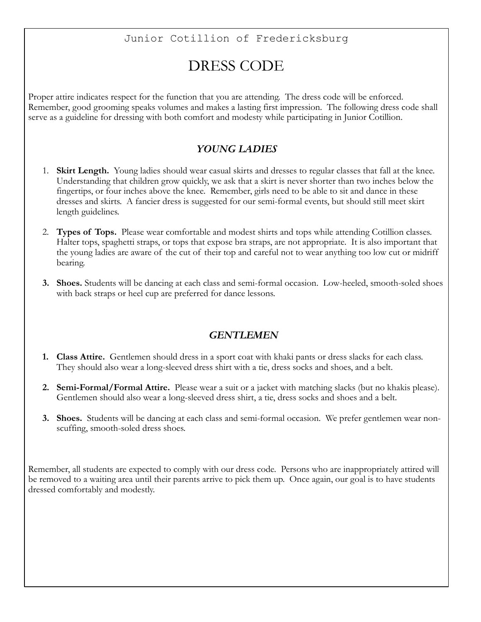## Junior Cotillion of Fredericksburg

## DRESS CODE

Proper attire indicates respect for the function that you are attending. The dress code will be enforced. Remember, good grooming speaks volumes and makes a lasting first impression. The following dress code shall serve as a guideline for dressing with both comfort and modesty while participating in Junior Cotillion.

## *YOUNG LADIES*

- 1. **Skirt Length.** Young ladies should wear casual skirts and dresses to regular classes that fall at the knee. Understanding that children grow quickly, we ask that a skirt is never shorter than two inches below the fingertips, or four inches above the knee. Remember, girls need to be able to sit and dance in these dresses and skirts. A fancier dress is suggested for our semi-formal events, but should still meet skirt length guidelines.
- 2. **Types of Tops.** Please wear comfortable and modest shirts and tops while attending Cotillion classes. Halter tops, spaghetti straps, or tops that expose bra straps, are not appropriate. It is also important that the young ladies are aware of the cut of their top and careful not to wear anything too low cut or midriff bearing.
- **3. Shoes.** Students will be dancing at each class and semi-formal occasion. Low-heeled, smooth-soled shoes with back straps or heel cup are preferred for dance lessons.

## *GENTLEMEN*

- **1. Class Attire.** Gentlemen should dress in a sport coat with khaki pants or dress slacks for each class. They should also wear a long-sleeved dress shirt with a tie, dress socks and shoes, and a belt.
- **2. Semi-Formal/Formal Attire.** Please wear a suit or a jacket with matching slacks (but no khakis please). Gentlemen should also wear a long-sleeved dress shirt, a tie, dress socks and shoes and a belt.
- **3. Shoes.** Students will be dancing at each class and semi-formal occasion. We prefer gentlemen wear nonscuffing, smooth-soled dress shoes.

Remember, all students are expected to comply with our dress code. Persons who are inappropriately attired will be removed to a waiting area until their parents arrive to pick them up. Once again, our goal is to have students dressed comfortably and modestly.